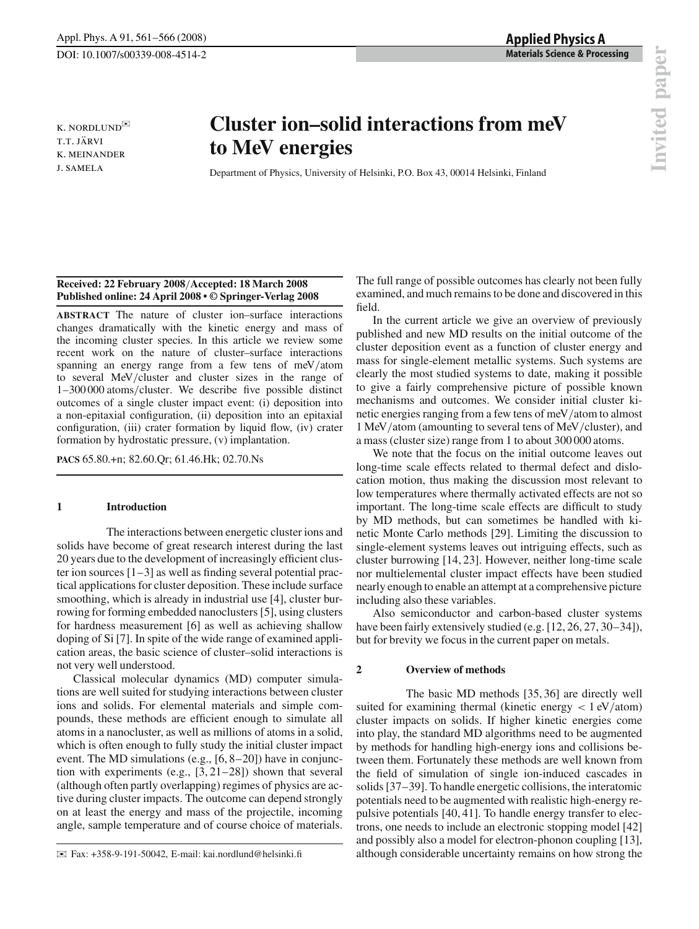k. nordlund✉ T.T. JÄRVI k. meinander j. samela

# **Cluster ion–solid interactions from meV to MeV energies**

Department of Physics, University of Helsinki, P.O. Box 43, 00014 Helsinki, Finland

# **Received: 22 February 2008**/**Accepted: 18 March 2008 Published online: 24 April 2008 • © Springer-Verlag 2008**

**ABSTRACT** The nature of cluster ion–surface interactions changes dramatically with the kinetic energy and mass of the incoming cluster species. In this article we review some recent work on the nature of cluster–surface interactions spanning an energy range from a few tens of meV/atom to several MeV/cluster and cluster sizes in the range of 1–300 000 atoms/cluster. We describe five possible distinct outcomes of a single cluster impact event: (i) deposition into a non-epitaxial configuration, (ii) deposition into an epitaxial configuration, (iii) crater formation by liquid flow, (iv) crater formation by hydrostatic pressure, (v) implantation.

**PACS** 65.80.+n; 82.60.Qr; 61.46.Hk; 02.70.Ns

# **1 Introduction**

The interactions between energetic cluster ions and solids have become of great research interest during the last 20 years due to the development of increasingly efficient cluster ion sources  $[1-3]$  as well as finding several potential practical applications for cluster deposition. These include surface smoothing, which is already in industrial use [4], cluster burrowing for forming embedded nanoclusters [5], using clusters for hardness measurement [6] as well as achieving shallow doping of Si [7]. In spite of the wide range of examined application areas, the basic science of cluster–solid interactions is not very well understood.

Classical molecular dynamics (MD) computer simulations are well suited for studying interactions between cluster ions and solids. For elemental materials and simple compounds, these methods are efficient enough to simulate all atoms in a nanocluster, as well as millions of atoms in a solid, which is often enough to fully study the initial cluster impact event. The MD simulations (e.g., [6, 8–20]) have in conjunction with experiments (e.g., [3, 21–28]) shown that several (although often partly overlapping) regimes of physics are active during cluster impacts. The outcome can depend strongly on at least the energy and mass of the projectile, incoming angle, sample temperature and of course choice of materials.

The full range of possible outcomes has clearly not been fully examined, and much remains to be done and discovered in this field.

In the current article we give an overview of previously published and new MD results on the initial outcome of the cluster deposition event as a function of cluster energy and mass for single-element metallic systems. Such systems are clearly the most studied systems to date, making it possible to give a fairly comprehensive picture of possible known mechanisms and outcomes. We consider initial cluster kinetic energies ranging from a few tens of meV/atom to almost 1 MeV/atom (amounting to several tens of MeV/cluster), and a mass (cluster size) range from 1 to about 300 000 atoms.

We note that the focus on the initial outcome leaves out long-time scale effects related to thermal defect and dislocation motion, thus making the discussion most relevant to low temperatures where thermally activated effects are not so important. The long-time scale effects are difficult to study by MD methods, but can sometimes be handled with kinetic Monte Carlo methods [29]. Limiting the discussion to single-element systems leaves out intriguing effects, such as cluster burrowing [14, 23]. However, neither long-time scale nor multielemental cluster impact effects have been studied nearly enough to enable an attempt at a comprehensive picture including also these variables.

Also semiconductor and carbon-based cluster systems have been fairly extensively studied (e.g. [12, 26, 27, 30–34]), but for brevity we focus in the current paper on metals.

## **2 Overview of methods**

The basic MD methods [35, 36] are directly well suited for examining thermal (kinetic energy  $\langle 1 \text{ eV}/\text{atom} \rangle$ ) cluster impacts on solids. If higher kinetic energies come into play, the standard MD algorithms need to be augmented by methods for handling high-energy ions and collisions between them. Fortunately these methods are well known from the field of simulation of single ion-induced cascades in solids [37–39]. To handle energetic collisions, the interatomic potentials need to be augmented with realistic high-energy repulsive potentials [40, 41]. To handle energy transfer to electrons, one needs to include an electronic stopping model [42] and possibly also a model for electron-phonon coupling [13], although considerable uncertainty remains on how strong the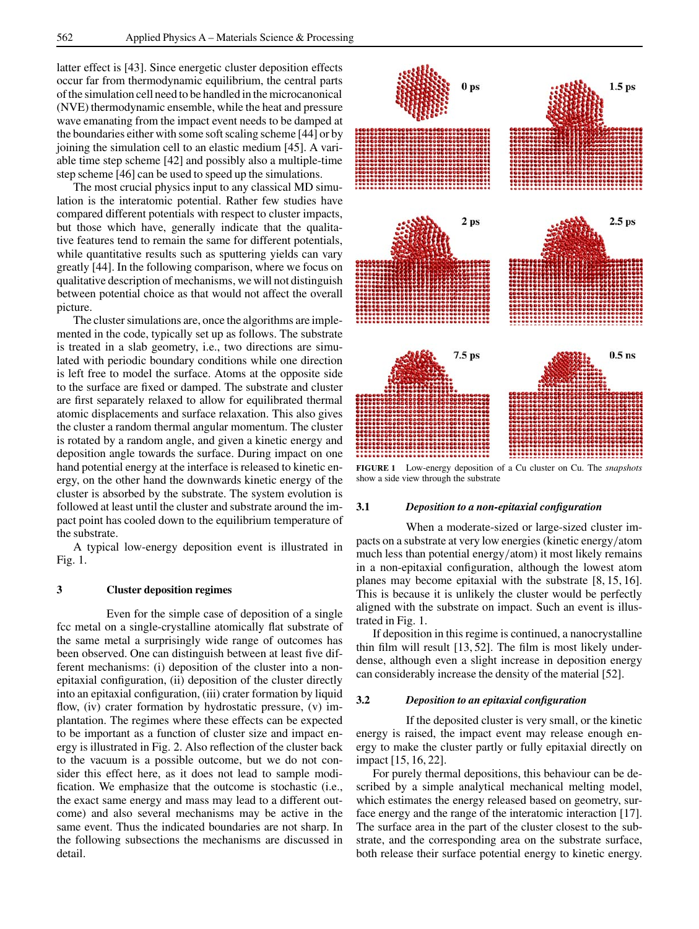latter effect is [43]. Since energetic cluster deposition effects occur far from thermodynamic equilibrium, the central parts of the simulation cell need to be handled in the microcanonical (NVE) thermodynamic ensemble, while the heat and pressure wave emanating from the impact event needs to be damped at the boundaries either with some soft scaling scheme [44] or by joining the simulation cell to an elastic medium [45]. A variable time step scheme [42] and possibly also a multiple-time step scheme [46] can be used to speed up the simulations.

The most crucial physics input to any classical MD simulation is the interatomic potential. Rather few studies have compared different potentials with respect to cluster impacts, but those which have, generally indicate that the qualitative features tend to remain the same for different potentials, while quantitative results such as sputtering yields can vary greatly [44]. In the following comparison, where we focus on qualitative description of mechanisms, we will not distinguish between potential choice as that would not affect the overall picture.

The cluster simulations are, once the algorithms are implemented in the code, typically set up as follows. The substrate is treated in a slab geometry, i.e., two directions are simulated with periodic boundary conditions while one direction is left free to model the surface. Atoms at the opposite side to the surface are fixed or damped. The substrate and cluster are first separately relaxed to allow for equilibrated thermal atomic displacements and surface relaxation. This also gives the cluster a random thermal angular momentum. The cluster is rotated by a random angle, and given a kinetic energy and deposition angle towards the surface. During impact on one hand potential energy at the interface is released to kinetic energy, on the other hand the downwards kinetic energy of the cluster is absorbed by the substrate. The system evolution is followed at least until the cluster and substrate around the impact point has cooled down to the equilibrium temperature of the substrate.

A typical low-energy deposition event is illustrated in Fig. 1.

# **3 Cluster deposition regimes**

Even for the simple case of deposition of a single fcc metal on a single-crystalline atomically flat substrate of the same metal a surprisingly wide range of outcomes has been observed. One can distinguish between at least five different mechanisms: (i) deposition of the cluster into a nonepitaxial configuration, (ii) deposition of the cluster directly into an epitaxial configuration, (iii) crater formation by liquid flow, (iv) crater formation by hydrostatic pressure, (v) implantation. The regimes where these effects can be expected to be important as a function of cluster size and impact energy is illustrated in Fig. 2. Also reflection of the cluster back to the vacuum is a possible outcome, but we do not consider this effect here, as it does not lead to sample modification. We emphasize that the outcome is stochastic (i.e., the exact same energy and mass may lead to a different outcome) and also several mechanisms may be active in the same event. Thus the indicated boundaries are not sharp. In the following subsections the mechanisms are discussed in detail.



**FIGURE 1** Low-energy deposition of a Cu cluster on Cu. The *snapshots* show a side view through the substrate

## **3.1** *Deposition to a non-epitaxial configuration*

When a moderate-sized or large-sized cluster impacts on a substrate at very low energies (kinetic energy/atom much less than potential energy/atom) it most likely remains in a non-epitaxial configuration, although the lowest atom planes may become epitaxial with the substrate [8, 15, 16]. This is because it is unlikely the cluster would be perfectly aligned with the substrate on impact. Such an event is illustrated in Fig. 1.

If deposition in this regime is continued, a nanocrystalline thin film will result [13, 52]. The film is most likely underdense, although even a slight increase in deposition energy can considerably increase the density of the material [52].

#### **3.2** *Deposition to an epitaxial configuration*

If the deposited cluster is very small, or the kinetic energy is raised, the impact event may release enough energy to make the cluster partly or fully epitaxial directly on impact [15, 16, 22].

For purely thermal depositions, this behaviour can be described by a simple analytical mechanical melting model, which estimates the energy released based on geometry, surface energy and the range of the interatomic interaction [17]. The surface area in the part of the cluster closest to the substrate, and the corresponding area on the substrate surface, both release their surface potential energy to kinetic energy.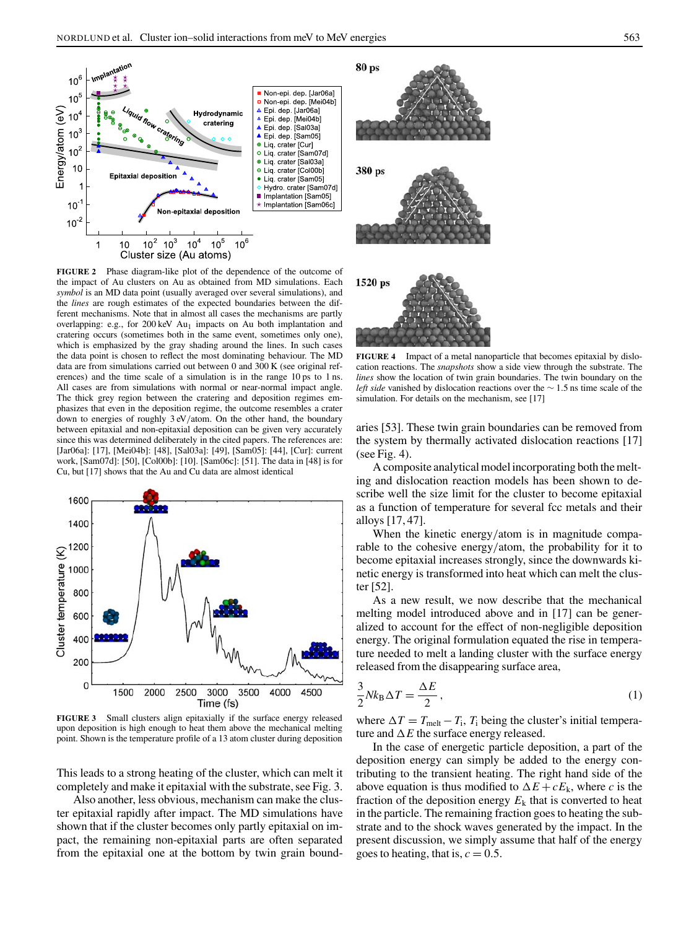

**FIGURE 2** Phase diagram-like plot of the dependence of the outcome of the impact of Au clusters on Au as obtained from MD simulations. Each *symbol* is an MD data point (usually averaged over several simulations), and the *lines* are rough estimates of the expected boundaries between the different mechanisms. Note that in almost all cases the mechanisms are partly overlapping: e.g., for 200 keV Au<sub>1</sub> impacts on Au both implantation and cratering occurs (sometimes both in the same event, sometimes only one), which is emphasized by the gray shading around the lines. In such cases the data point is chosen to reflect the most dominating behaviour. The MD data are from simulations carried out between 0 and 300 K (see original references) and the time scale of a simulation is in the range 10 ps to 1 ns. All cases are from simulations with normal or near-normal impact angle. The thick grey region between the cratering and deposition regimes emphasizes that even in the deposition regime, the outcome resembles a crater down to energies of roughly 3 eV/atom. On the other hand, the boundary between epitaxial and non-epitaxial deposition can be given very accurately since this was determined deliberately in the cited papers. The references are: [Jar06a]: [17], [Mei04b]: [48], [Sal03a]: [49], [Sam05]: [44], [Cur]: current work, [Sam07d]: [50], [Col00b]: [10]. [Sam06c]: [51]. The data in [48] is for Cu, but [17] shows that the Au and Cu data are almost identical



**FIGURE 3** Small clusters align epitaxially if the surface energy released upon deposition is high enough to heat them above the mechanical melting point. Shown is the temperature profile of a 13 atom cluster during deposition

This leads to a strong heating of the cluster, which can melt it completely and make it epitaxial with the substrate, see Fig. 3.

Also another, less obvious, mechanism can make the cluster epitaxial rapidly after impact. The MD simulations have shown that if the cluster becomes only partly epitaxial on impact, the remaining non-epitaxial parts are often separated from the epitaxial one at the bottom by twin grain bound-



**FIGURE 4** Impact of a metal nanoparticle that becomes epitaxial by dislocation reactions. The *snapshots* show a side view through the substrate. The *lines* show the location of twin grain boundaries. The twin boundary on the *left side* vanished by dislocation reactions over the ∼ 1.5 ns time scale of the simulation. For details on the mechanism, see [17]

aries [53]. These twin grain boundaries can be removed from the system by thermally activated dislocation reactions [17] (see Fig. 4).

A composite analytical model incorporating both the melting and dislocation reaction models has been shown to describe well the size limit for the cluster to become epitaxial as a function of temperature for several fcc metals and their alloys [17, 47].

When the kinetic energy/atom is in magnitude comparable to the cohesive energy/atom, the probability for it to become epitaxial increases strongly, since the downwards kinetic energy is transformed into heat which can melt the cluster [52].

As a new result, we now describe that the mechanical melting model introduced above and in [17] can be generalized to account for the effect of non-negligible deposition energy. The original formulation equated the rise in temperature needed to melt a landing cluster with the surface energy released from the disappearing surface area,

$$
\frac{3}{2}Nk_{\rm B}\Delta T = \frac{\Delta E}{2},\qquad(1)
$$

where  $\Delta T = T_{\text{melt}} - T_i$ ,  $T_i$  being the cluster's initial temperature and ∆*E* the surface energy released.

In the case of energetic particle deposition, a part of the deposition energy can simply be added to the energy contributing to the transient heating. The right hand side of the above equation is thus modified to  $\Delta E + cE_k$ , where *c* is the fraction of the deposition energy  $E_k$  that is converted to heat in the particle. The remaining fraction goes to heating the substrate and to the shock waves generated by the impact. In the present discussion, we simply assume that half of the energy goes to heating, that is,  $c = 0.5$ .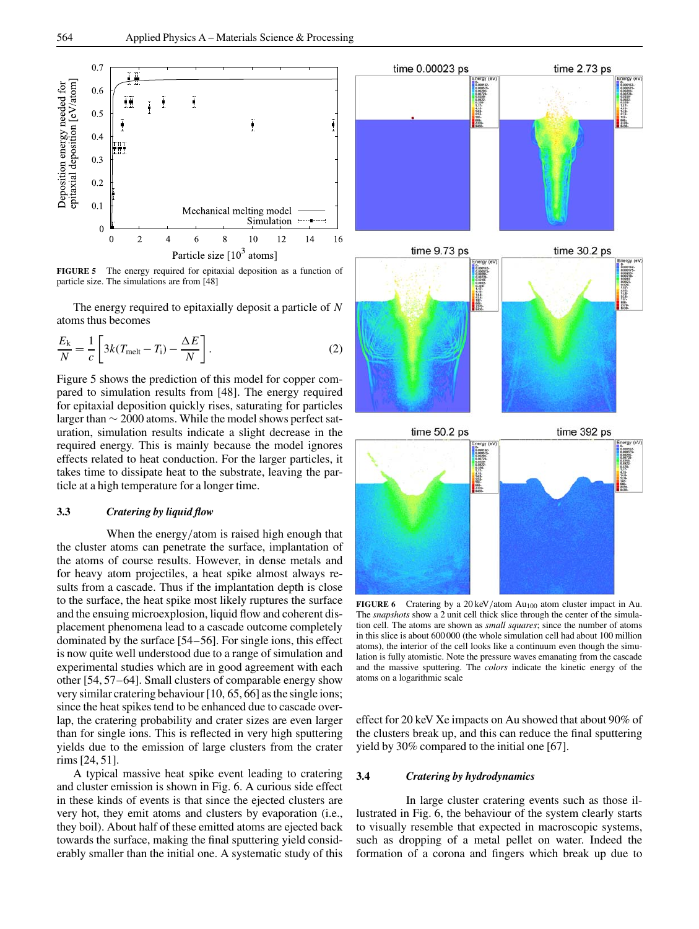

**FIGURE 5** The energy required for epitaxial deposition as a function of particle size. The simulations are from [48]

The energy required to epitaxially deposit a particle of *N* atoms thus becomes

$$
\frac{E_{k}}{N} = \frac{1}{c} \left[ 3k(T_{\text{melt}} - T_{\text{i}}) - \frac{\Delta E}{N} \right].
$$
 (2)

Figure 5 shows the prediction of this model for copper compared to simulation results from [48]. The energy required for epitaxial deposition quickly rises, saturating for particles larger than ∼ 2000 atoms. While the model shows perfect saturation, simulation results indicate a slight decrease in the required energy. This is mainly because the model ignores effects related to heat conduction. For the larger particles, it takes time to dissipate heat to the substrate, leaving the particle at a high temperature for a longer time.

# **3.3** *Cratering by liquid flow*

When the energy/atom is raised high enough that the cluster atoms can penetrate the surface, implantation of the atoms of course results. However, in dense metals and for heavy atom projectiles, a heat spike almost always results from a cascade. Thus if the implantation depth is close to the surface, the heat spike most likely ruptures the surface and the ensuing microexplosion, liquid flow and coherent displacement phenomena lead to a cascade outcome completely dominated by the surface [54–56]. For single ions, this effect is now quite well understood due to a range of simulation and experimental studies which are in good agreement with each other [54, 57–64]. Small clusters of comparable energy show very similar cratering behaviour [10, 65, 66] as the single ions; since the heat spikes tend to be enhanced due to cascade overlap, the cratering probability and crater sizes are even larger than for single ions. This is reflected in very high sputtering yields due to the emission of large clusters from the crater rims [24, 51].

A typical massive heat spike event leading to cratering and cluster emission is shown in Fig. 6. A curious side effect in these kinds of events is that since the ejected clusters are very hot, they emit atoms and clusters by evaporation (i.e., they boil). About half of these emitted atoms are ejected back towards the surface, making the final sputtering yield considerably smaller than the initial one. A systematic study of this



**FIGURE 6** Cratering by a 20 keV/atom Au<sub>100</sub> atom cluster impact in Au. The *snapshots* show a 2 unit cell thick slice through the center of the simulation cell. The atoms are shown as *small squares*; since the number of atoms in this slice is about 600 000 (the whole simulation cell had about 100 million atoms), the interior of the cell looks like a continuum even though the simulation is fully atomistic. Note the pressure waves emanating from the cascade and the massive sputtering. The *colors* indicate the kinetic energy of the atoms on a logarithmic scale

effect for 20 keV Xe impacts on Au showed that about 90% of the clusters break up, and this can reduce the final sputtering yield by 30% compared to the initial one [67].

#### **3.4** *Cratering by hydrodynamics*

In large cluster cratering events such as those illustrated in Fig. 6, the behaviour of the system clearly starts to visually resemble that expected in macroscopic systems, such as dropping of a metal pellet on water. Indeed the formation of a corona and fingers which break up due to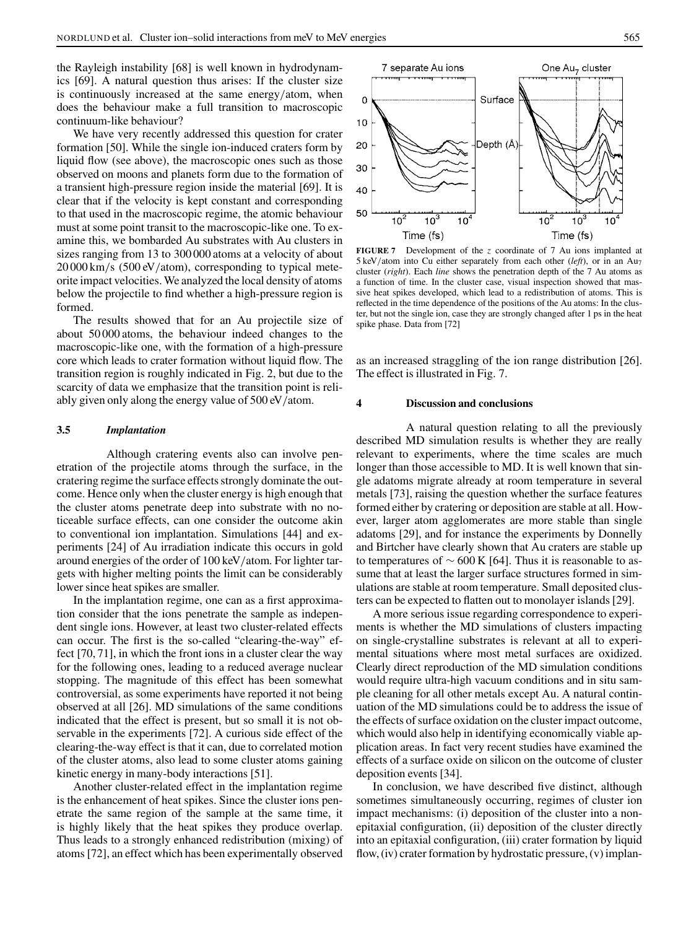the Rayleigh instability [68] is well known in hydrodynamics [69]. A natural question thus arises: If the cluster size is continuously increased at the same energy/atom, when does the behaviour make a full transition to macroscopic continuum-like behaviour?

We have very recently addressed this question for crater formation [50]. While the single ion-induced craters form by liquid flow (see above), the macroscopic ones such as those observed on moons and planets form due to the formation of a transient high-pressure region inside the material [69]. It is clear that if the velocity is kept constant and corresponding to that used in the macroscopic regime, the atomic behaviour must at some point transit to the macroscopic-like one. To examine this, we bombarded Au substrates with Au clusters in sizes ranging from 13 to 300 000 atoms at a velocity of about 20 000 km/s (500 eV/atom), corresponding to typical meteorite impact velocities. We analyzed the local density of atoms below the projectile to find whether a high-pressure region is formed.

The results showed that for an Au projectile size of about 50 000 atoms, the behaviour indeed changes to the macroscopic-like one, with the formation of a high-pressure core which leads to crater formation without liquid flow. The transition region is roughly indicated in Fig. 2, but due to the scarcity of data we emphasize that the transition point is reliably given only along the energy value of 500 eV/atom.

# **3.5** *Implantation*

Although cratering events also can involve penetration of the projectile atoms through the surface, in the cratering regime the surface effects strongly dominate the outcome. Hence only when the cluster energy is high enough that the cluster atoms penetrate deep into substrate with no noticeable surface effects, can one consider the outcome akin to conventional ion implantation. Simulations [44] and experiments [24] of Au irradiation indicate this occurs in gold around energies of the order of 100 keV/atom. For lighter targets with higher melting points the limit can be considerably lower since heat spikes are smaller.

In the implantation regime, one can as a first approximation consider that the ions penetrate the sample as independent single ions. However, at least two cluster-related effects can occur. The first is the so-called "clearing-the-way" effect [70, 71], in which the front ions in a cluster clear the way for the following ones, leading to a reduced average nuclear stopping. The magnitude of this effect has been somewhat controversial, as some experiments have reported it not being observed at all [26]. MD simulations of the same conditions indicated that the effect is present, but so small it is not observable in the experiments [72]. A curious side effect of the clearing-the-way effect is that it can, due to correlated motion of the cluster atoms, also lead to some cluster atoms gaining kinetic energy in many-body interactions [51].

Another cluster-related effect in the implantation regime is the enhancement of heat spikes. Since the cluster ions penetrate the same region of the sample at the same time, it is highly likely that the heat spikes they produce overlap. Thus leads to a strongly enhanced redistribution (mixing) of atoms [72], an effect which has been experimentally observed



**FIGURE 7** Development of the *z* coordinate of 7 Au ions implanted at 5 keV/atom into Cu either separately from each other (*left*), or in an Au7 cluster (*right*). Each *line* shows the penetration depth of the 7 Au atoms as a function of time. In the cluster case, visual inspection showed that massive heat spikes developed, which lead to a redistribution of atoms. This is reflected in the time dependence of the positions of the Au atoms: In the cluster, but not the single ion, case they are strongly changed after 1 ps in the heat spike phase. Data from [72]

as an increased straggling of the ion range distribution [26]. The effect is illustrated in Fig. 7.

## **4 Discussion and conclusions**

A natural question relating to all the previously described MD simulation results is whether they are really relevant to experiments, where the time scales are much longer than those accessible to MD. It is well known that single adatoms migrate already at room temperature in several metals [73], raising the question whether the surface features formed either by cratering or deposition are stable at all. However, larger atom agglomerates are more stable than single adatoms [29], and for instance the experiments by Donnelly and Birtcher have clearly shown that Au craters are stable up to temperatures of  $\sim$  600 K [64]. Thus it is reasonable to assume that at least the larger surface structures formed in simulations are stable at room temperature. Small deposited clusters can be expected to flatten out to monolayer islands [29].

A more serious issue regarding correspondence to experiments is whether the MD simulations of clusters impacting on single-crystalline substrates is relevant at all to experimental situations where most metal surfaces are oxidized. Clearly direct reproduction of the MD simulation conditions would require ultra-high vacuum conditions and in situ sample cleaning for all other metals except Au. A natural continuation of the MD simulations could be to address the issue of the effects of surface oxidation on the cluster impact outcome, which would also help in identifying economically viable application areas. In fact very recent studies have examined the effects of a surface oxide on silicon on the outcome of cluster deposition events [34].

In conclusion, we have described five distinct, although sometimes simultaneously occurring, regimes of cluster ion impact mechanisms: (i) deposition of the cluster into a nonepitaxial configuration, (ii) deposition of the cluster directly into an epitaxial configuration, (iii) crater formation by liquid flow, (iv) crater formation by hydrostatic pressure, (v) implan